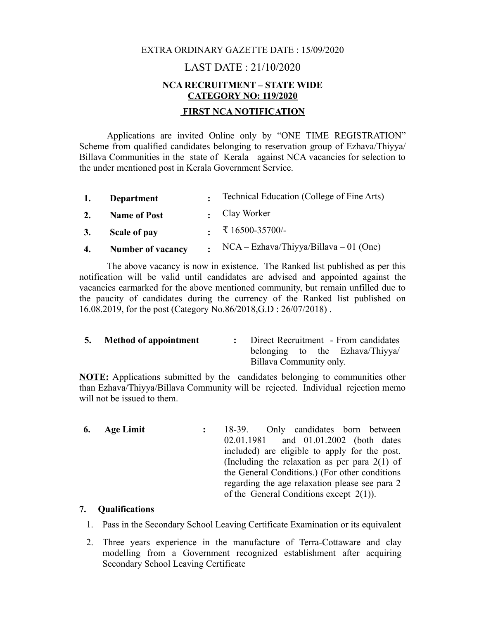## EXTRA ORDINARY GAZETTE DATE : 15/09/2020

# LAST DATE : 21/10/2020 **NCA RECRUITMENT – STATE WIDE CATEGORY NO: 119/2020 FIRST NCA NOTIFICATION**

Applications are invited Online only by "ONE TIME REGISTRATION" Scheme from qualified candidates belonging to reservation group of Ezhava/Thiyya/ Billava Communities in the state of Kerala against NCA vacancies for selection to the under mentioned post in Kerala Government Service.

| 1. | <b>Department</b>        | . Technical Education (College of Fine Arts) |
|----|--------------------------|----------------------------------------------|
| 2. | <b>Name of Post</b>      | $\cdot$ Clay Worker                          |
| 3. | Scale of pay             |                                              |
| 4. | <b>Number of vacancy</b> | : $NCA - Ezhava/Th_iyya/Billava - 01 (One)$  |

The above vacancy is now in existence. The Ranked list published as per this notification will be valid until candidates are advised and appointed against the vacancies earmarked for the above mentioned community, but remain unfilled due to the paucity of candidates during the currency of the Ranked list published on 16.08.2019, for the post (Category No.86/2018,G.D : 26/07/2018) .

**5. Method of appointment :** Direct Recruitment - From candidates belonging to the Ezhava/Thiyya/ Billava Community only.

**NOTE:** Applications submitted by the candidates belonging to communities other than Ezhava/Thiyya/Billava Community will be rejected. Individual rejection memo will not be issued to them.

**6. Age Limit :** 18-39. Only candidates born between 02.01.1981 and 01.01.2002 (both dates included) are eligible to apply for the post. (Including the relaxation as per para 2(1) of the General Conditions.) (For other conditions regarding the age relaxation please see para 2 of the General Conditions except 2(1)).

## **7. Qualifications**

- 1. Pass in the Secondary School Leaving Certificate Examination or its equivalent
- 2. Three years experience in the manufacture of Terra-Cottaware and clay modelling from a Government recognized establishment after acquiring Secondary School Leaving Certificate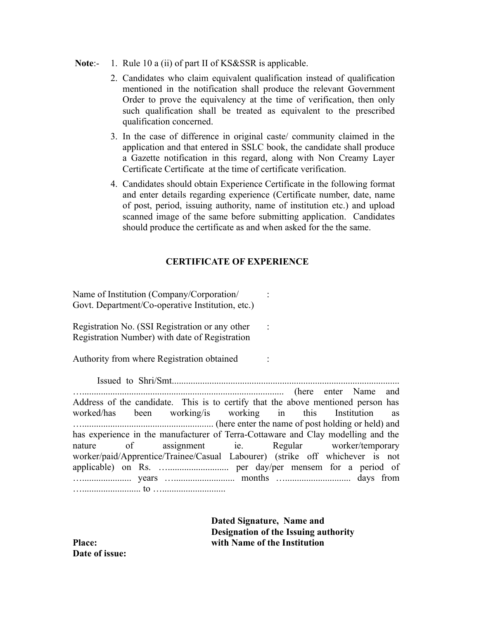- Note:- 1. Rule 10 a (ii) of part II of KS&SSR is applicable.
	- 2. Candidates who claim equivalent qualification instead of qualification mentioned in the notification shall produce the relevant Government Order to prove the equivalency at the time of verification, then only such qualification shall be treated as equivalent to the prescribed qualification concerned.
	- 3. In the case of difference in original caste/ community claimed in the application and that entered in SSLC book, the candidate shall produce a Gazette notification in this regard, along with Non Creamy Layer Certificate Certificate at the time of certificate verification.
	- 4. Candidates should obtain Experience Certificate in the following format and enter details regarding experience (Certificate number, date, name of post, period, issuing authority, name of institution etc.) and upload scanned image of the same before submitting application. Candidates should produce the certificate as and when asked for the the same.

### **CERTIFICATE OF EXPERIENCE**

Name of Institution (Company/Corporation/ : Govt. Department/Co-operative Institution, etc.)

Registration No. (SSI Registration or any other : Registration Number) with date of Registration

Authority from where Registration obtained :

 Issued to Shri/Smt................................................................................................. …...................................................................................... (here enter Name and Address of the candidate. This is to certify that the above mentioned person has worked/has been working/is working in this Institution as …........................................................ (here enter the name of post holding or held) and has experience in the manufacturer of Terra-Cottaware and Clay modelling and the nature of assignment ie. Regular worker/temporary worker/paid/Apprentice/Trainee/Casual Labourer) (strike off whichever is not applicable) on Rs. ….......................... per day/per mensem for a period of …..................... years ….......................... months …............................ days from …......................... to …...........................

**Dated Signature, Name and Designation of the Issuing authority Place: with Name of the Institution**

**Date of issue:**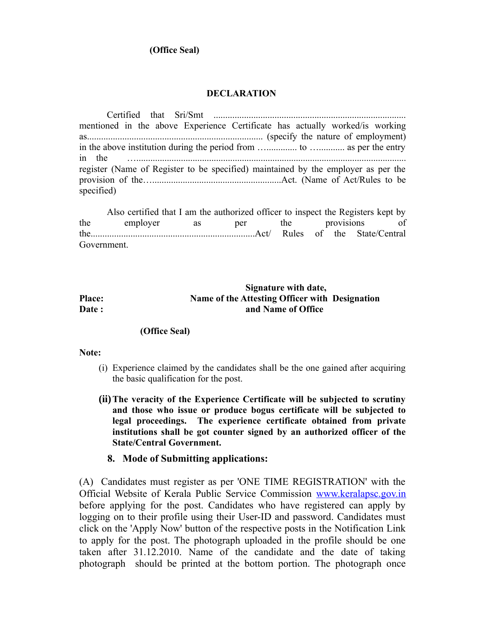## **(Office Seal)**

#### **DECLARATION**

| mentioned in the above Experience Certificate has actually worked/is working      |  |  |  |
|-----------------------------------------------------------------------------------|--|--|--|
|                                                                                   |  |  |  |
|                                                                                   |  |  |  |
|                                                                                   |  |  |  |
| register (Name of Register to be specified) maintained by the employer as per the |  |  |  |
|                                                                                   |  |  |  |
| specified)                                                                        |  |  |  |

Also certified that I am the authorized officer to inspect the Registers kept by the employer as per the provisions of the......................................................................Act/ Rules of the State/Central Government.

## **Signature with date, Place: Name of the Attesting Officer with Designation Date :** and Name of Office

### **(Office Seal)**

#### **Note:**

- (i) Experience claimed by the candidates shall be the one gained after acquiring the basic qualification for the post.
- **(ii)The veracity of the Experience Certificate will be subjected to scrutiny and those who issue or produce bogus certificate will be subjected to legal proceedings. The experience certificate obtained from private institutions shall be got counter signed by an authorized officer of the State/Central Government.**

### **8. Mode of Submitting applications:**

(A) Candidates must register as per 'ONE TIME REGISTRATION' with the Official Website of Kerala Public Service Commission [www.keralapsc.gov.in](http://www.kerealapsc.gov.in/) before applying for the post. Candidates who have registered can apply by logging on to their profile using their User-ID and password. Candidates must click on the 'Apply Now' button of the respective posts in the Notification Link to apply for the post. The photograph uploaded in the profile should be one taken after 31.12.2010. Name of the candidate and the date of taking photograph should be printed at the bottom portion. The photograph once